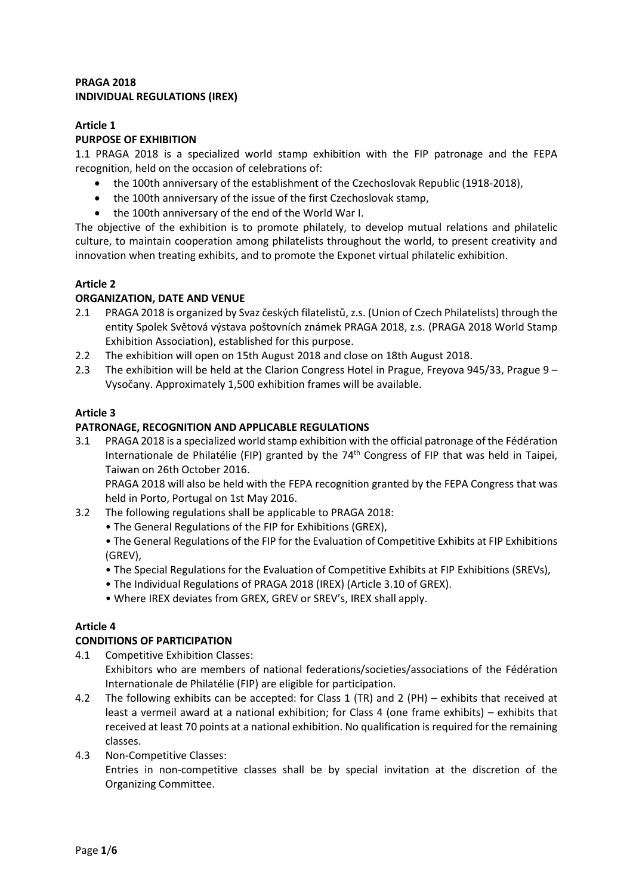## **PRAGA 2018 INDIVIDUAL REGULATIONS (IREX)**

## **Article 1**

#### **PURPOSE OF EXHIBITION**

1.1 PRAGA 2018 is a specialized world stamp exhibition with the FIP patronage and the FEPA recognition, held on the occasion of celebrations of:

- the 100th anniversary of the establishment of the Czechoslovak Republic (1918-2018),
- the 100th anniversary of the issue of the first Czechoslovak stamp,
- the 100th anniversary of the end of the World War I.

The objective of the exhibition is to promote philately, to develop mutual relations and philatelic culture, to maintain cooperation among philatelists throughout the world, to present creativity and innovation when treating exhibits, and to promote the Exponet virtual philatelic exhibition.

### **Article 2**

## **ORGANIZATION, DATE AND VENUE**

- 2.1 PRAGA 2018 is organized by Svaz českých filatelistů, z.s. (Union of Czech Philatelists) through the entity Spolek Světová výstava poštovních známek PRAGA 2018, z.s. (PRAGA 2018 World Stamp Exhibition Association), established for this purpose.
- 2.2 The exhibition will open on 15th August 2018 and close on 18th August 2018.
- 2.3 The exhibition will be held at the Clarion Congress Hotel in Prague, Freyova 945/33, Prague 9 Vysočany. Approximately 1,500 exhibition frames will be available.

## **Article 3**

### **PATRONAGE, RECOGNITION AND APPLICABLE REGULATIONS**

3.1 PRAGA 2018 is a specialized world stamp exhibition with the official patronage of the Fédération Internationale de Philatélie (FIP) granted by the  $74<sup>th</sup>$  Congress of FIP that was held in Taipei, Taiwan on 26th October 2016.

PRAGA 2018 will also be held with the FEPA recognition granted by the FEPA Congress that was held in Porto, Portugal on 1st May 2016.

- 3.2 The following regulations shall be applicable to PRAGA 2018:
	- The General Regulations of the FIP for Exhibitions (GREX),

• The General Regulations of the FIP for the Evaluation of Competitive Exhibits at FIP Exhibitions (GREV),

- The Special Regulations for the Evaluation of Competitive Exhibits at FIP Exhibitions (SREVs),
- The Individual Regulations of PRAGA 2018 (IREX) (Article 3.10 of GREX).
- Where IREX deviates from GREX, GREV or SREV's, IREX shall apply.

#### **Article 4**

#### **CONDITIONS OF PARTICIPATION**

- 4.1 Competitive Exhibition Classes: Exhibitors who are members of national federations/societies/associations of the Fédération Internationale de Philatélie (FIP) are eligible for participation.
- 4.2 The following exhibits can be accepted: for Class 1 (TR) and 2 (PH) exhibits that received at least a vermeil award at a national exhibition; for Class 4 (one frame exhibits) – exhibits that received at least 70 points at a national exhibition. No qualification is required for the remaining classes.
- 4.3 Non-Competitive Classes: Entries in non-competitive classes shall be by special invitation at the discretion of the Organizing Committee.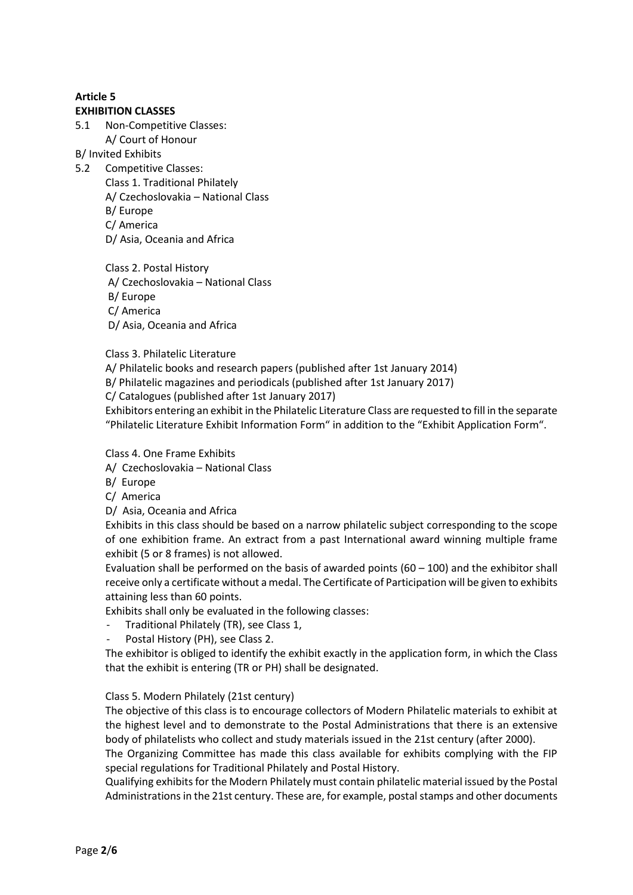#### **EXHIBITION CLASSES**

- 5.1 Non-Competitive Classes:
	- A/ Court of Honour

B/ Invited Exhibits

- 5.2 Competitive Classes:
	- Class 1. Traditional Philately A/ Czechoslovakia – National Class B/ Europe C/ America D/ Asia, Oceania and Africa

Class 2. Postal History A/ Czechoslovakia – National Class B/ Europe C/ America D/ Asia, Oceania and Africa

Class 3. Philatelic Literature

A/ Philatelic books and research papers (published after 1st January 2014)

B/ Philatelic magazines and periodicals (published after 1st January 2017)

C/ Catalogues (published after 1st January 2017)

Exhibitors entering an exhibit in the Philatelic Literature Class are requested to fill in the separate "Philatelic Literature Exhibit Information Form" in addition to the "Exhibit Application Form".

Class 4. One Frame Exhibits

- A/ Czechoslovakia National Class
- B/ Europe
- C/ America
- D/ Asia, Oceania and Africa

Exhibits in this class should be based on a narrow philatelic subject corresponding to the scope of one exhibition frame. An extract from a past International award winning multiple frame exhibit (5 or 8 frames) is not allowed.

Evaluation shall be performed on the basis of awarded points  $(60 - 100)$  and the exhibitor shall receive only a certificate without a medal. The Certificate of Participation will be given to exhibits attaining less than 60 points.

Exhibits shall only be evaluated in the following classes:

- Traditional Philately (TR), see Class 1,
- Postal History (PH), see Class 2.

The exhibitor is obliged to identify the exhibit exactly in the application form, in which the Class that the exhibit is entering (TR or PH) shall be designated.

#### Class 5. Modern Philately (21st century)

The objective of this class is to encourage collectors of Modern Philatelic materials to exhibit at the highest level and to demonstrate to the Postal Administrations that there is an extensive body of philatelists who collect and study materials issued in the 21st century (after 2000).

The Organizing Committee has made this class available for exhibits complying with the FIP special regulations for Traditional Philately and Postal History.

Qualifying exhibits for the Modern Philately must contain philatelic material issued by the Postal Administrations in the 21st century. These are, for example, postal stamps and other documents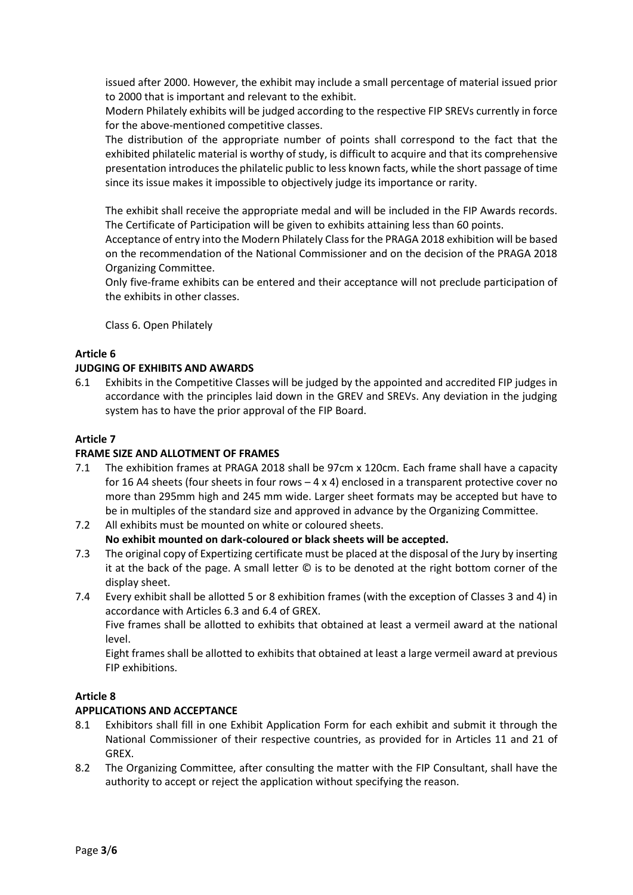issued after 2000. However, the exhibit may include a small percentage of material issued prior to 2000 that is important and relevant to the exhibit.

Modern Philately exhibits will be judged according to the respective FIP SREVs currently in force for the above-mentioned competitive classes.

The distribution of the appropriate number of points shall correspond to the fact that the exhibited philatelic material is worthy of study, is difficult to acquire and that its comprehensive presentation introduces the philatelic public to less known facts, while the short passage of time since its issue makes it impossible to objectively judge its importance or rarity.

The exhibit shall receive the appropriate medal and will be included in the FIP Awards records. The Certificate of Participation will be given to exhibits attaining less than 60 points.

Acceptance of entry into the Modern Philately Class for the PRAGA 2018 exhibition will be based on the recommendation of the National Commissioner and on the decision of the PRAGA 2018 Organizing Committee.

Only five-frame exhibits can be entered and their acceptance will not preclude participation of the exhibits in other classes.

Class 6. Open Philately

# **Article 6**

### **JUDGING OF EXHIBITS AND AWARDS**

6.1 Exhibits in the Competitive Classes will be judged by the appointed and accredited FIP judges in accordance with the principles laid down in the GREV and SREVs. Any deviation in the judging system has to have the prior approval of the FIP Board.

### **Article 7**

#### **FRAME SIZE AND ALLOTMENT OF FRAMES**

- 7.1 The exhibition frames at PRAGA 2018 shall be 97cm x 120cm. Each frame shall have a capacity for 16 A4 sheets (four sheets in four rows  $-4 \times 4$ ) enclosed in a transparent protective cover no more than 295mm high and 245 mm wide. Larger sheet formats may be accepted but have to be in multiples of the standard size and approved in advance by the Organizing Committee.
- 7.2 All exhibits must be mounted on white or coloured sheets. **No exhibit mounted on dark-coloured or black sheets will be accepted.**
- 7.3 The original copy of Expertizing certificate must be placed at the disposal of the Jury by inserting it at the back of the page. A small letter © is to be denoted at the right bottom corner of the display sheet.
- 7.4 Every exhibit shall be allotted 5 or 8 exhibition frames (with the exception of Classes 3 and 4) in accordance with Articles 6.3 and 6.4 of GREX.

Five frames shall be allotted to exhibits that obtained at least a vermeil award at the national level.

Eight frames shall be allotted to exhibits that obtained at least a large vermeil award at previous FIP exhibitions.

#### **Article 8**

#### **APPLICATIONS AND ACCEPTANCE**

- 8.1 Exhibitors shall fill in one Exhibit Application Form for each exhibit and submit it through the National Commissioner of their respective countries, as provided for in Articles 11 and 21 of GREX.
- 8.2 The Organizing Committee, after consulting the matter with the FIP Consultant, shall have the authority to accept or reject the application without specifying the reason.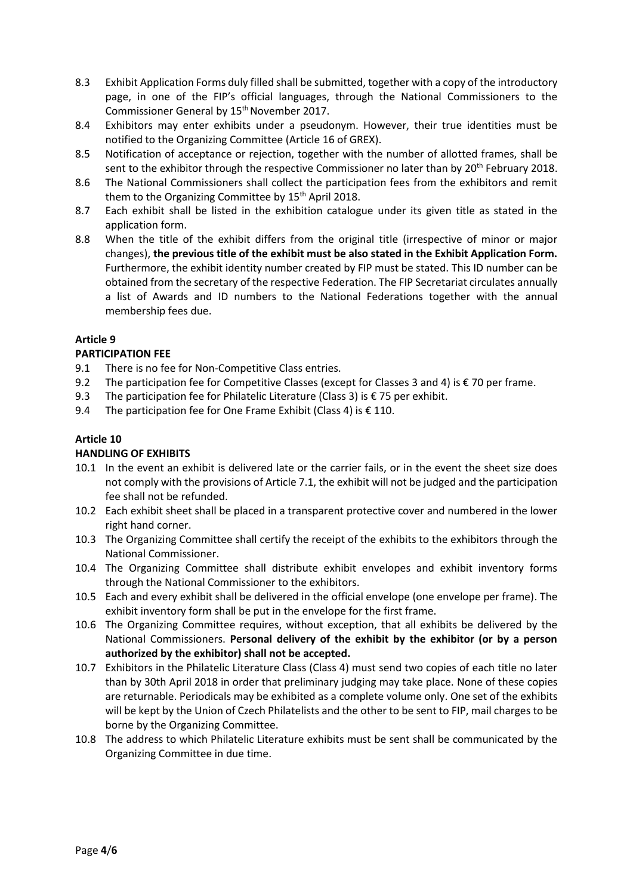- 8.3 Exhibit Application Forms duly filled shall be submitted, together with a copy of the introductory page, in one of the FIP's official languages, through the National Commissioners to the Commissioner General by 15<sup>th</sup> November 2017.
- 8.4 Exhibitors may enter exhibits under a pseudonym. However, their true identities must be notified to the Organizing Committee (Article 16 of GREX).
- 8.5 Notification of acceptance or rejection, together with the number of allotted frames, shall be sent to the exhibitor through the respective Commissioner no later than by 20<sup>th</sup> February 2018.
- 8.6 The National Commissioners shall collect the participation fees from the exhibitors and remit them to the Organizing Committee by 15<sup>th</sup> April 2018.
- 8.7 Each exhibit shall be listed in the exhibition catalogue under its given title as stated in the application form.
- 8.8 When the title of the exhibit differs from the original title (irrespective of minor or major changes), **the previous title of the exhibit must be also stated in the Exhibit Application Form.** Furthermore, the exhibit identity number created by FIP must be stated. This ID number can be obtained from the secretary of the respective Federation. The FIP Secretariat circulates annually a list of Awards and ID numbers to the National Federations together with the annual membership fees due.

### **PARTICIPATION FEE**

- 9.1 There is no fee for Non-Competitive Class entries.
- 9.2 The participation fee for Competitive Classes (except for Classes 3 and 4) is € 70 per frame.
- 9.3 The participation fee for Philatelic Literature (Class 3) is € 75 per exhibit.
- 9.4 The participation fee for One Frame Exhibit (Class 4) is  $€ 110$ .

### **Article 10**

#### **HANDLING OF EXHIBITS**

- 10.1 In the event an exhibit is delivered late or the carrier fails, or in the event the sheet size does not comply with the provisions of Article 7.1, the exhibit will not be judged and the participation fee shall not be refunded.
- 10.2 Each exhibit sheet shall be placed in a transparent protective cover and numbered in the lower right hand corner.
- 10.3 The Organizing Committee shall certify the receipt of the exhibits to the exhibitors through the National Commissioner.
- 10.4 The Organizing Committee shall distribute exhibit envelopes and exhibit inventory forms through the National Commissioner to the exhibitors.
- 10.5 Each and every exhibit shall be delivered in the official envelope (one envelope per frame). The exhibit inventory form shall be put in the envelope for the first frame.
- 10.6 The Organizing Committee requires, without exception, that all exhibits be delivered by the National Commissioners. **Personal delivery of the exhibit by the exhibitor (or by a person authorized by the exhibitor) shall not be accepted.**
- 10.7 Exhibitors in the Philatelic Literature Class (Class 4) must send two copies of each title no later than by 30th April 2018 in order that preliminary judging may take place. None of these copies are returnable. Periodicals may be exhibited as a complete volume only. One set of the exhibits will be kept by the Union of Czech Philatelists and the other to be sent to FIP, mail charges to be borne by the Organizing Committee.
- 10.8 The address to which Philatelic Literature exhibits must be sent shall be communicated by the Organizing Committee in due time.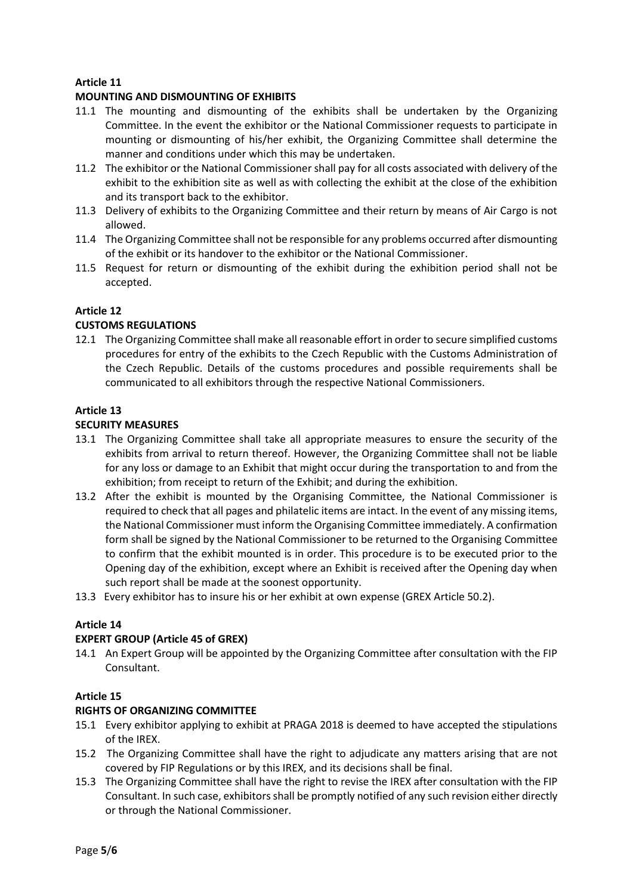## **MOUNTING AND DISMOUNTING OF EXHIBITS**

- 11.1 The mounting and dismounting of the exhibits shall be undertaken by the Organizing Committee. In the event the exhibitor or the National Commissioner requests to participate in mounting or dismounting of his/her exhibit, the Organizing Committee shall determine the manner and conditions under which this may be undertaken.
- 11.2 The exhibitor or the National Commissioner shall pay for all costs associated with delivery of the exhibit to the exhibition site as well as with collecting the exhibit at the close of the exhibition and its transport back to the exhibitor.
- 11.3 Delivery of exhibits to the Organizing Committee and their return by means of Air Cargo is not allowed.
- 11.4 The Organizing Committee shall not be responsible for any problems occurred after dismounting of the exhibit or its handover to the exhibitor or the National Commissioner.
- 11.5 Request for return or dismounting of the exhibit during the exhibition period shall not be accepted.

### **Article 12**

### **CUSTOMS REGULATIONS**

12.1 The Organizing Committee shall make all reasonable effort in order to secure simplified customs procedures for entry of the exhibits to the Czech Republic with the Customs Administration of the Czech Republic. Details of the customs procedures and possible requirements shall be communicated to all exhibitors through the respective National Commissioners.

## **Article 13**

### **SECURITY MEASURES**

- 13.1 The Organizing Committee shall take all appropriate measures to ensure the security of the exhibits from arrival to return thereof. However, the Organizing Committee shall not be liable for any loss or damage to an Exhibit that might occur during the transportation to and from the exhibition; from receipt to return of the Exhibit; and during the exhibition.
- 13.2 After the exhibit is mounted by the Organising Committee, the National Commissioner is required to check that all pages and philatelic items are intact. In the event of any missing items, the National Commissioner must inform the Organising Committee immediately. A confirmation form shall be signed by the National Commissioner to be returned to the Organising Committee to confirm that the exhibit mounted is in order. This procedure is to be executed prior to the Opening day of the exhibition, except where an Exhibit is received after the Opening day when such report shall be made at the soonest opportunity.
- 13.3 Every exhibitor has to insure his or her exhibit at own expense (GREX Article 50.2).

## **Article 14**

## **EXPERT GROUP (Article 45 of GREX)**

14.1 An Expert Group will be appointed by the Organizing Committee after consultation with the FIP Consultant.

#### **Article 15**

#### **RIGHTS OF ORGANIZING COMMITTEE**

- 15.1 Every exhibitor applying to exhibit at PRAGA 2018 is deemed to have accepted the stipulations of the IREX.
- 15.2 The Organizing Committee shall have the right to adjudicate any matters arising that are not covered by FIP Regulations or by this IREX, and its decisions shall be final.
- 15.3 The Organizing Committee shall have the right to revise the IREX after consultation with the FIP Consultant. In such case, exhibitors shall be promptly notified of any such revision either directly or through the National Commissioner.